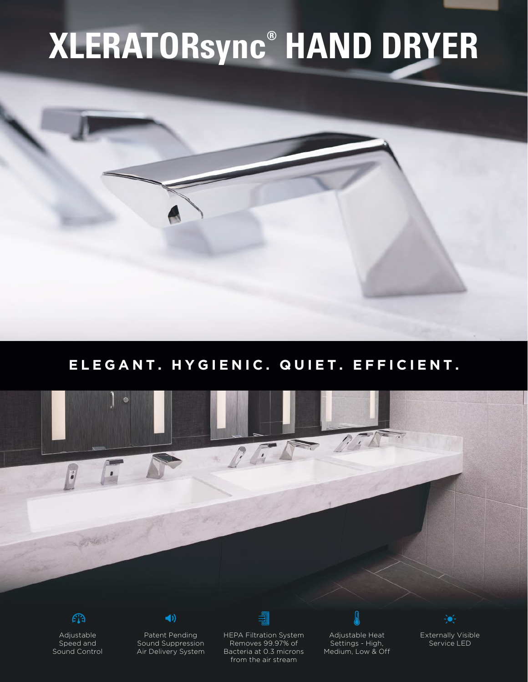# **XLERATORsync® HAND DRYER**

## **ELEGANT. HYGIENIC. QUIET. EFFICIENT.**





Adjustable Speed and Sound Control



Patent Pending Sound Suppression Air Delivery System



HEPA Filtration System Removes 99.97% of Bacteria at 0.3 microns from the air stream

Adjustable Heat Settings - High, Medium, Low & Off

屓



Externally Visible Service LED